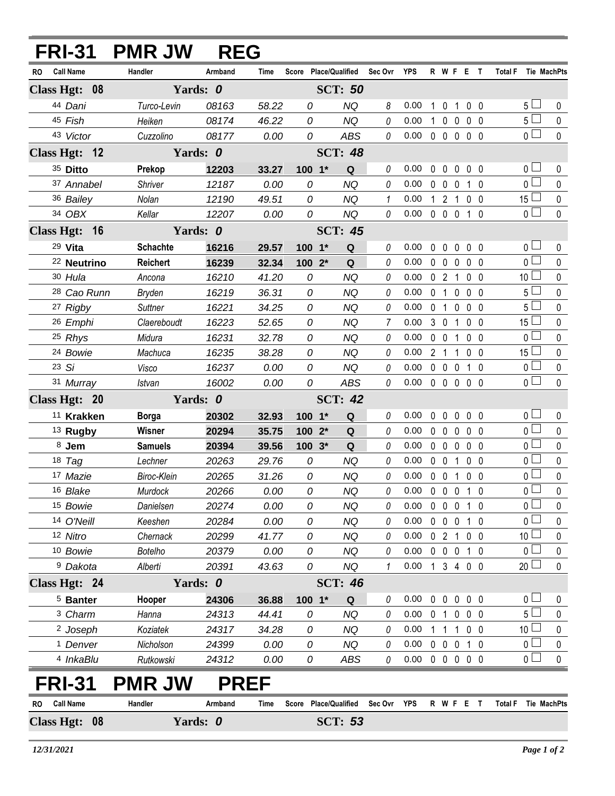| <b>FRI-31</b>           | <b>PMR JW</b>   | <b>REG</b>                 |             |                       |                        |              |            |                |                   |                |                |                               |             |
|-------------------------|-----------------|----------------------------|-------------|-----------------------|------------------------|--------------|------------|----------------|-------------------|----------------|----------------|-------------------------------|-------------|
| <b>Call Name</b><br>RO. | Handler         | Armband                    | Time        | Score Place/Qualified |                        | Sec Ovr      | <b>YPS</b> |                |                   | R W F E T      |                | Tie MachPts<br><b>Total F</b> |             |
| Class Hgt: 08           | Yards: 0        |                            |             |                       | <b>SCT: 50</b>         |              |            |                |                   |                |                |                               |             |
| 44 Dani                 | Turco-Levin     | 08163                      | 58.22       | 0                     | <b>NQ</b>              | 8            | 0.00       |                |                   | 1 0 1 0 0      |                | $5 -$                         | $\bf{0}$    |
| 45 Fish                 | Heiken          | 08174                      | 46.22       | $\overline{O}$        | <b>NQ</b>              | 0            | 0.00       |                |                   | 10000          |                | $5\Box$                       | $\mathbf 0$ |
| 43 Victor               | Cuzzolino       | 08177                      | 0.00        | 0                     | ABS                    | 0            | 0.00       |                |                   | 00000          |                | $\overline{0}$                | $\mathbf 0$ |
| Class Hgt: 12           | Yards: 0        |                            |             |                       | <b>SCT: 48</b>         |              |            |                |                   |                |                |                               |             |
| 35 Ditto                | Prekop          | 12203                      | 33.27       | $100 - 1*$            | Q                      | 0            | 0.00       | $\mathbf 0$    | $\mathbf 0$       | $\mathbf 0$    | $0\quad 0$     | 0 <sub>0</sub>                | 0           |
| 37 Annabel              | Shriver         | 12187                      | 0.00        | 0                     | NQ                     | 0            | 0.00       |                | $0\quad 0\quad 0$ |                | $1\quad0$      | $0\square$                    | 0           |
| 36 Bailey               | Nolan           | 12190                      | 49.51       | 0                     | <b>NQ</b>              | $\mathbf{1}$ | 0.00       |                |                   | 1 2 1 0 0      |                | $15\perp$                     | $\pmb{0}$   |
| 34 OBX                  | Kellar          | 12207                      | 0.00        | 0                     | <b>NQ</b>              | $\theta$     | 0.00       |                |                   | 0 0 0 1 0      |                | $\overline{0}$                | $\mathbf 0$ |
| Class Hgt: 16           | Yards: 0        |                            |             | <b>SCT: 45</b>        |                        |              |            |                |                   |                |                |                               |             |
| 29 Vita                 | <b>Schachte</b> | 16216                      | 29.57       | $100 - 1*$            | Q                      | 0            | 0.00       | 0              | $\mathbf 0$       | $\overline{0}$ | $0\quad 0$     | 0 <sub>0</sub>                | 0           |
| <sup>22</sup> Neutrino  | <b>Reichert</b> | 16239                      | 32.34       | 100 2*                | Q                      | 0            | 0.00       |                | $0\quad 0$        | $\mathbf{0}$   | 0 <sub>0</sub> | 0 <sub>l</sub>                | 0           |
| 30 Hula                 | Ancona          | 16210                      | 41.20       | 0                     | <b>NQ</b>              | 0            | 0.00       |                | 021               |                | 0 <sub>0</sub> | 10 <sup>1</sup>               | $\mathbf 0$ |
| <sup>28</sup> Cao Runn  | <b>Bryden</b>   | 16219                      | 36.31       | 0                     | NQ                     | 0            | 0.00       |                | $0 \t1 \t0$       |                | 0 <sub>0</sub> | $5+$                          | 0           |
| 27 Rigby                | <b>Suttner</b>  | 16221                      | 34.25       | 0                     | <b>NQ</b>              | 0            | 0.00       | 0 <sub>1</sub> |                   | $\mathbf 0$    | 0 <sub>0</sub> | $5+$                          | $\mathbf 0$ |
| 26 Emphi                | Claereboudt     | 16223                      | 52.65       | 0                     | NQ                     | 7            | 0.00       | 3 0            |                   | -1             | 0 <sub>0</sub> | 15 $\lfloor$                  | 0           |
| 25 Rhys                 | Midura          | 16231                      | 32.78       | 0                     | <b>NQ</b>              | 0            | 0.00       |                | $0 \t0 \t1$       |                | 0 <sub>0</sub> | $0-$                          | 0           |
| <sup>24</sup> Bowie     | Machuca         | 16235                      | 38.28       | 0                     | NQ                     | 0            | 0.00       |                | 2 1 1             |                | $0\quad 0$     | $15\perp$                     | 0           |
| $23$ $Si$               | Visco           | 16237                      | 0.00        | 0                     | <b>NQ</b>              | 0            | 0.00       |                | $0\quad 0\quad 0$ |                | 1 0            | $0\square$                    | $\pmb{0}$   |
| 31 Murray               | Istvan          | 16002                      | 0.00        | 0                     | <b>ABS</b>             | $\theta$     | 0.00       |                |                   | 00000          |                | $\overline{0}$                | $\mathbf 0$ |
| Class Hgt: 20           | Yards: 0        |                            |             |                       | <b>SCT: 42</b>         |              |            |                |                   |                |                |                               |             |
| <sup>11</sup> Krakken   | <b>Borga</b>    | 20302                      | 32.93       | $100 - 1*$            | Q                      | 0            | 0.00       | $\mathbf{0}$   | $\mathbf 0$       | $\mathbf 0$    | $0\quad 0$     | 0 <sub>0</sub>                | $\mathbf 0$ |
| <sup>13</sup> Rugby     | Wisner          | 20294                      | 35.75       | 100 2*                | Q                      | 0            | 0.00       |                | $0\quad 0$        | $\mathbf 0$    | $0\quad 0$     | $\overline{0}$                | $\mathbf 0$ |
| 8 Jem                   | <b>Samuels</b>  | 20394                      | 39.56       | $100.3*$              | Q                      | 0            | 0.00       |                | $0\quad 0\quad 0$ |                | 0 <sub>0</sub> | 0 <sub>0</sub>                | $\pmb{0}$   |
| 18 $Tag$                | Lechner         | 20263                      | 29.76       | 0                     | NQ                     | 0            | 0.00       | $0\quad 0$     |                   | 1              | 0 <sub>0</sub> | $\overline{0}$                | 0           |
| 17 Mazie                | Biroc-Klein     | 20265                      | 31.26       | 0                     | <b>NQ</b>              | $\theta$     | 0.00       |                | $0 \t0 \t1$       |                | 0 <sub>0</sub> | 0 <sup>1</sup>                | $\pmb{0}$   |
| 16 Blake                | <b>Murdock</b>  | 20266                      | 0.00        | 0                     | <b>NQ</b>              | 0            | 0.00       |                |                   | 0 0 0 1 0      |                | 0                             | $\pmb{0}$   |
| 15 Bowie                | Danielsen       | 20274                      | 0.00        | 0                     | <b>NQ</b>              | 0            | 0.00       |                |                   | 0 0 0 1 0      |                | 0 <sup>1</sup>                | 0           |
| 14 O'Neill              | Keeshen         | 20284                      | 0.00        | 0                     | NQ                     | 0            | 0.00       | $\mathbf 0$    | $\mathbf 0$       | $\mathbf 0$    | 10             | 0 l                           | 0           |
| 12 Nitro                | Chernack        | 20299                      | 41.77       | 0                     | <b>NQ</b>              | 0            | 0.00       |                | 021               |                | 0 <sub>0</sub> | 10 <sup>L</sup>               | 0           |
| 10 Bowie                | <b>Botelho</b>  | 20379                      | 0.00        | 0                     | <b>NQ</b>              | 0            | 0.00       |                | $0\quad 0\quad 0$ |                | 1 0            | 0 <sub>0</sub>                | 0           |
| <sup>9</sup> Dakota     | Alberti         | 20391                      | 43.63       | 0                     | <b>NQ</b>              | $\mathbf{1}$ | 0.00       |                |                   | 1 3 4 0 0      |                | $20$ $-$                      | 0           |
| Class Hgt: 24           | Yards: 0        |                            |             |                       | <b>SCT: 46</b>         |              |            |                |                   |                |                |                               |             |
| <sup>5</sup> Banter     | Hooper          | 24306                      | 36.88       | $100 - 1*$            | Q                      | 0            | 0.00       | $0\quad 0$     |                   | 0              | 0 <sub>0</sub> | 0 <sub>0</sub>                | 0           |
| 3 Charm                 | Hanna           | 24313                      | 44.41       | 0                     | <b>NQ</b>              | 0            | 0.00       | $\mathbf 0$    | $\overline{1}$    | 0              | $0\quad 0$     | 5 <sub>1</sub>                | 0           |
| <sup>2</sup> Joseph     | Koziatek        | 24317                      | 34.28       | 0                     | <b>NQ</b>              | 0            | 0.00       | 1              |                   | 1              | 0 <sub>0</sub> | 10 <sup>2</sup>               | 0           |
| <sup>1</sup> Denver     | Nicholson       | 24399                      | 0.00        | 0                     | <b>NQ</b>              | 0            | 0.00       |                | $0\quad 0$        | $\overline{0}$ | $1\quad0$      | 0 <sub>1</sub>                | 0           |
| <sup>4</sup> InkaBlu    | Rutkowski       | 24312                      | 0.00        | 0                     | ABS                    | 0            | 0.00       |                |                   | 00000          |                | $\overline{0}$                | 0           |
| <b>FRI-31</b>           | <b>PMR JW</b>   |                            | <b>PREF</b> |                       |                        |              |            |                |                   |                |                |                               |             |
| <b>Call Name</b><br>RO. | Handler         | Armband                    | Time        | Score                 | <b>Place/Qualified</b> | Sec Ovr YPS  |            |                |                   | R W F E T      |                | <b>Total F</b><br>Tie MachPts |             |
| Class Hgt: 08           |                 | Yards: 0<br><b>SCT: 53</b> |             |                       |                        |              |            |                |                   |                |                |                               |             |